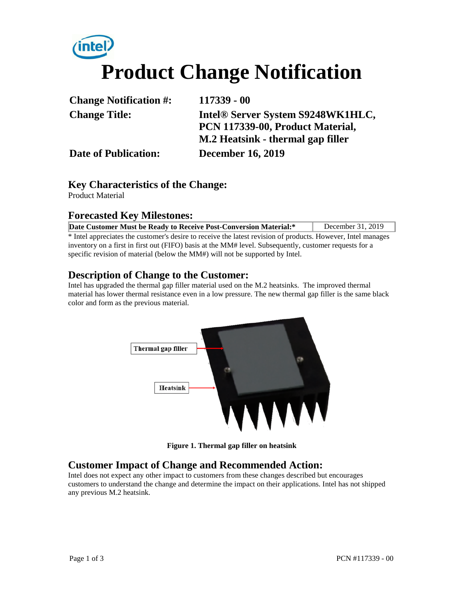# **Product Change Notification**

| <b>Change Notification #:</b> | $117339 - 00$                     |  |
|-------------------------------|-----------------------------------|--|
| <b>Change Title:</b>          | Intel® Server System S9248WK1HLC, |  |
|                               | PCN 117339-00, Product Material,  |  |
|                               | M.2 Heatsink - thermal gap filler |  |
| <b>Date of Publication:</b>   | <b>December 16, 2019</b>          |  |

#### **Key Characteristics of the Change:**

Product Material

#### **Forecasted Key Milestones:**

| Date Customer Must be Ready to Receive Post-Conversion Material:*                                            | December 31, 2019 |  |  |  |
|--------------------------------------------------------------------------------------------------------------|-------------------|--|--|--|
| * Intel appreciates the customer's desire to receive the latest revision of products. However, Intel manages |                   |  |  |  |
| inventory on a first in first out (FIFO) basis at the MM# level. Subsequently, customer requests for a       |                   |  |  |  |

specific revision of material (below the MM#) will not be supported by Intel.

#### **Description of Change to the Customer:**

Intel has upgraded the thermal gap filler material used on the M.2 heatsinks. The improved thermal material has lower thermal resistance even in a low pressure. The new thermal gap filler is the same black color and form as the previous material.



**Figure 1. Thermal gap filler on heatsink** 

#### **Customer Impact of Change and Recommended Action:**

Intel does not expect any other impact to customers from these changes described but encourages customers to understand the change and determine the impact on their applications. Intel has not shipped any previous M.2 heatsink.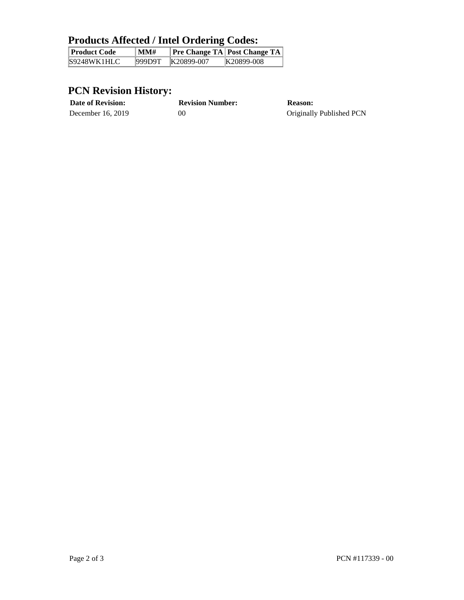## **Products Affected / Intel Ordering Codes:**

| Product Code | $\mathbf{M}$ M $\mathbf{\#}$ |            | <b>Pre Change TA Post Change TA</b> |
|--------------|------------------------------|------------|-------------------------------------|
| S9248WK1HLC  | 999D9T                       | K20899-007 | K20899-008                          |

### **PCN Revision History:**

| <b>Date of Revision:</b> | <b>Revision Number:</b> | <b>Reason:</b>           |
|--------------------------|-------------------------|--------------------------|
| December 16, 2019        | 00                      | Originally Published PCN |